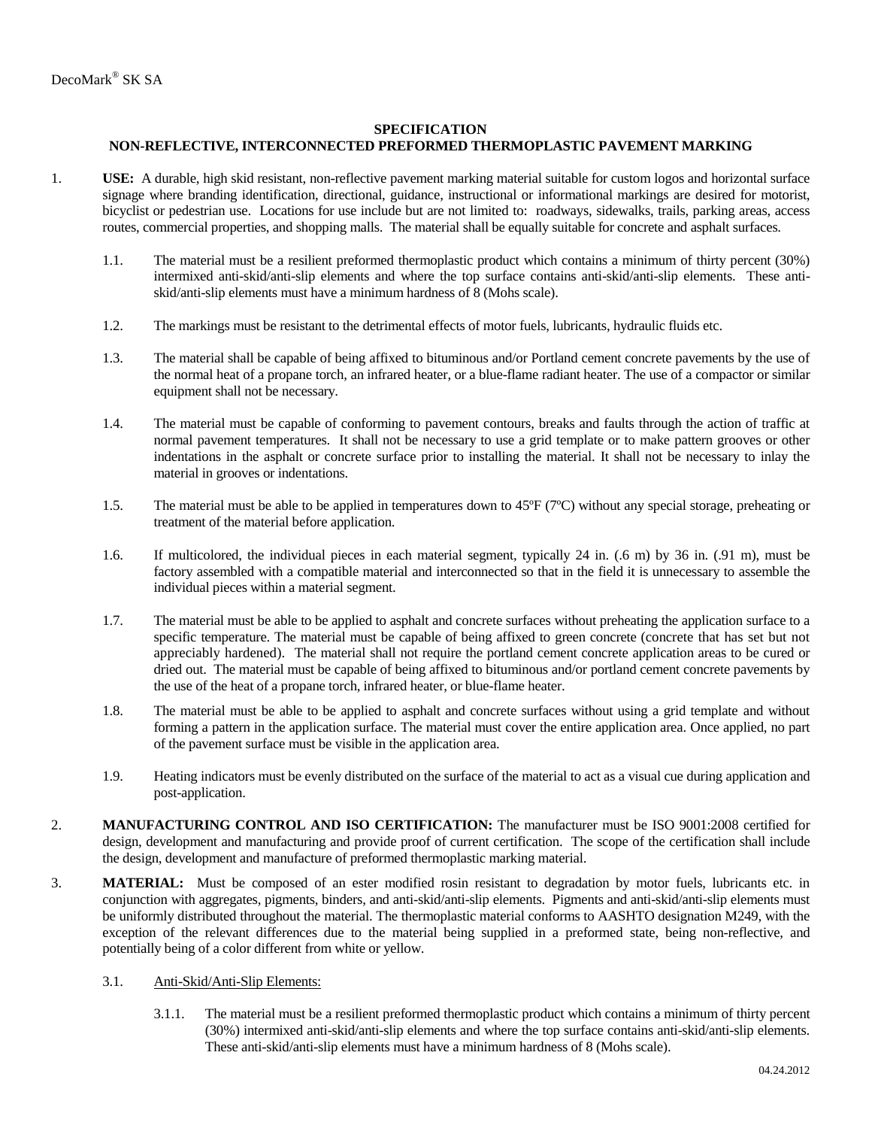## **SPECIFICATION**

## **NON-REFLECTIVE, INTERCONNECTED PREFORMED THERMOPLASTIC PAVEMENT MARKING**

- 1. **USE:** A durable, high skid resistant, non-reflective pavement marking material suitable for custom logos and horizontal surface signage where branding identification, directional, guidance, instructional or informational markings are desired for motorist, bicyclist or pedestrian use. Locations for use include but are not limited to: roadways, sidewalks, trails, parking areas, access routes, commercial properties, and shopping malls. The material shall be equally suitable for concrete and asphalt surfaces.
	- 1.1. The material must be a resilient preformed thermoplastic product which contains a minimum of thirty percent (30%) intermixed anti-skid/anti-slip elements and where the top surface contains anti-skid/anti-slip elements. These antiskid/anti-slip elements must have a minimum hardness of 8 (Mohs scale).
	- 1.2. The markings must be resistant to the detrimental effects of motor fuels, lubricants, hydraulic fluids etc.
	- 1.3. The material shall be capable of being affixed to bituminous and/or Portland cement concrete pavements by the use of the normal heat of a propane torch, an infrared heater, or a blue-flame radiant heater. The use of a compactor or similar equipment shall not be necessary.
	- 1.4. The material must be capable of conforming to pavement contours, breaks and faults through the action of traffic at normal pavement temperatures. It shall not be necessary to use a grid template or to make pattern grooves or other indentations in the asphalt or concrete surface prior to installing the material. It shall not be necessary to inlay the material in grooves or indentations.
	- 1.5. The material must be able to be applied in temperatures down to 45ºF (7ºC) without any special storage, preheating or treatment of the material before application.
	- 1.6. If multicolored, the individual pieces in each material segment, typically 24 in. (.6 m) by 36 in. (.91 m), must be factory assembled with a compatible material and interconnected so that in the field it is unnecessary to assemble the individual pieces within a material segment.
	- 1.7. The material must be able to be applied to asphalt and concrete surfaces without preheating the application surface to a specific temperature. The material must be capable of being affixed to green concrete (concrete that has set but not appreciably hardened). The material shall not require the portland cement concrete application areas to be cured or dried out. The material must be capable of being affixed to bituminous and/or portland cement concrete pavements by the use of the heat of a propane torch, infrared heater, or blue-flame heater.
	- 1.8. The material must be able to be applied to asphalt and concrete surfaces without using a grid template and without forming a pattern in the application surface. The material must cover the entire application area. Once applied, no part of the pavement surface must be visible in the application area.
	- 1.9. Heating indicators must be evenly distributed on the surface of the material to act as a visual cue during application and post-application.
- 2. **MANUFACTURING CONTROL AND ISO CERTIFICATION:** The manufacturer must be ISO 9001:2008 certified for design, development and manufacturing and provide proof of current certification. The scope of the certification shall include the design, development and manufacture of preformed thermoplastic marking material.
- 3. **MATERIAL:** Must be composed of an ester modified rosin resistant to degradation by motor fuels, lubricants etc. in conjunction with aggregates, pigments, binders, and anti-skid/anti-slip elements. Pigments and anti-skid/anti-slip elements must be uniformly distributed throughout the material. The thermoplastic material conforms to AASHTO designation M249, with the exception of the relevant differences due to the material being supplied in a preformed state, being non-reflective, and potentially being of a color different from white or yellow.
	- 3.1. Anti-Skid/Anti-Slip Elements:
		- 3.1.1. The material must be a resilient preformed thermoplastic product which contains a minimum of thirty percent (30%) intermixed anti-skid/anti-slip elements and where the top surface contains anti-skid/anti-slip elements. These anti-skid/anti-slip elements must have a minimum hardness of 8 (Mohs scale).